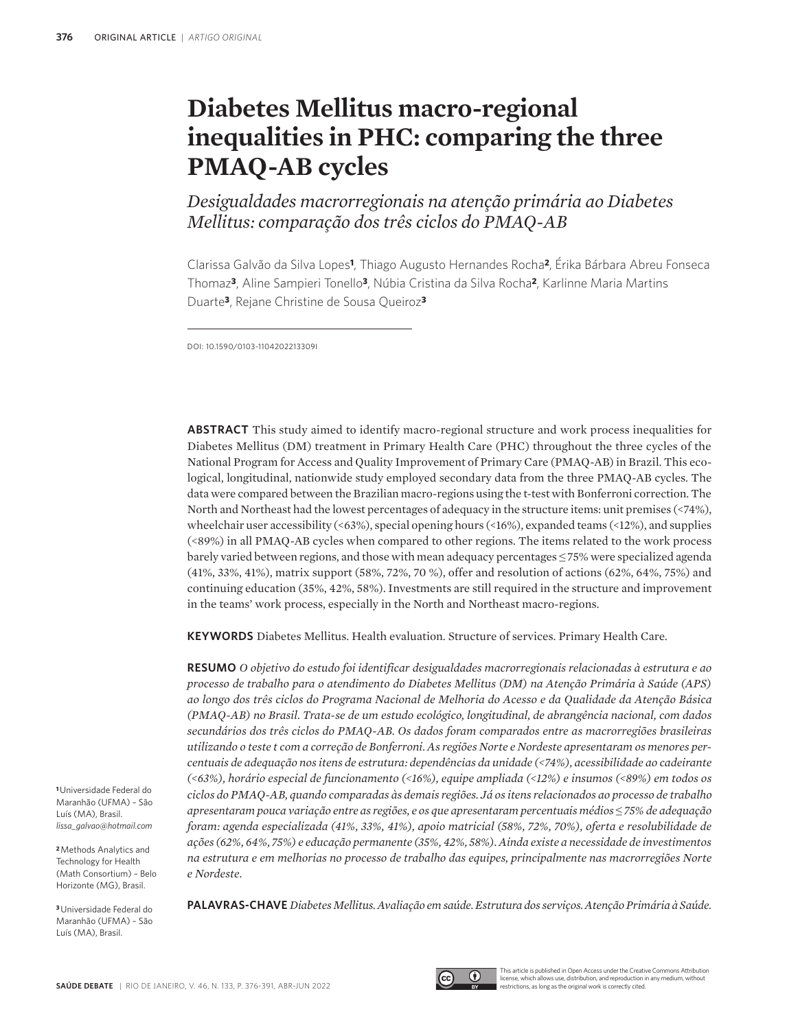# **Diabetes Mellitus macro-regional inequalities in PHC: comparing the three PMAQ-AB cycles**

*Desigualdades macrorregionais na atenção primária ao Diabetes Mellitus: comparação dos três ciclos do PMAQ-AB*

Clarissa Galvão da Silva Lopes**1**, Thiago Augusto Hernandes Rocha**2**, Érika Bárbara Abreu Fonseca Thomaz**3**, Aline Sampieri Tonello**3**, Núbia Cristina da Silva Rocha**2**, Karlinne Maria Martins Duarte**3**, Rejane Christine de Sousa Queiroz**<sup>3</sup>**

DOI: 10.1590/0103-1104202213309I

**ABSTRACT** This study aimed to identify macro-regional structure and work process inequalities for Diabetes Mellitus (DM) treatment in Primary Health Care (PHC) throughout the three cycles of the National Program for Access and Quality Improvement of Primary Care (PMAQ-AB) in Brazil. This ecological, longitudinal, nationwide study employed secondary data from the three PMAQ-AB cycles. The data were compared between the Brazilian macro-regions using the t-test with Bonferroni correction. The North and Northeast had the lowest percentages of adequacy in the structure items: unit premises (<74%), wheelchair user accessibility (<63%), special opening hours (<16%), expanded teams (<12%), and supplies (<89%) in all PMAQ-AB cycles when compared to other regions. The items related to the work process barely varied between regions, and those with mean adequacy percentages *≤* 75% were specialized agenda (41%, 33%, 41%), matrix support (58%, 72%, 70 %), offer and resolution of actions (62%, 64%, 75%) and continuing education (35%, 42%, 58%). Investments are still required in the structure and improvement in the teams' work process, especially in the North and Northeast macro-regions.

**KEYWORDS** Diabetes Mellitus. Health evaluation. Structure of services. Primary Health Care.

**RESUMO** *O objetivo do estudo foi identificar desigualdades macrorregionais relacionadas à estrutura e ao processo de trabalho para o atendimento do Diabetes Mellitus (DM) na Atenção Primária à Saúde (APS) ao longo dos três ciclos do Programa Nacional de Melhoria do Acesso e da Qualidade da Atenção Básica (PMAQ-AB) no Brasil. Trata-se de um estudo ecológico, longitudinal, de abrangência nacional, com dados secundários dos três ciclos do PMAQ-AB. Os dados foram comparados entre as macrorregiões brasileiras utilizando o teste t com a correção de Bonferroni. As regiões Norte e Nordeste apresentaram os menores percentuais de adequação nos itens de estrutura: dependências da unidade (<74%), acessibilidade ao cadeirante (<63%), horário especial de funcionamento (<16%), equipe ampliada (<12%) e insumos (<89%) em todos os ciclos do PMAQ-AB, quando comparadas às demais regiões. Já os itens relacionados ao processo de trabalho apresentaram pouca variação entre as regiões, e os que apresentaram percentuais médios* ≤ *75% de adequação foram: agenda especializada (41%, 33%, 41%), apoio matricial (58%, 72%, 70%), oferta e resolubilidade de ações (62%, 64%, 75%) e educação permanente (35%, 42%, 58%). Ainda existe a necessidade de investimentos na estrutura e em melhorias no processo de trabalho das equipes, principalmente nas macrorregiões Norte e Nordeste.*

**<sup>1</sup>**Universidade Federal do Maranhão (UFMA) – São Luís (MA), Brasil. *lissa\_galvao@hotmail.com*

**<sup>2</sup>**Methods Analytics and Technology for Health (Math Consortium) – Belo Horizonte (MG), Brasil.

**<sup>3</sup>**Universidade Federal do Maranhão (UFMA) – São Luís (MA), Brasil.

**PALAVRAS-CHAVE** *Diabetes Mellitus. Avaliação em saúde. Estrutura dos serviços. Atenção Primária à Saúde.* 



This article is published in Open Access under the Creative Commons Attributio license, which allows use, distribution, and reproduction in any medium, without restrictions, as long as the original work is correctly cited.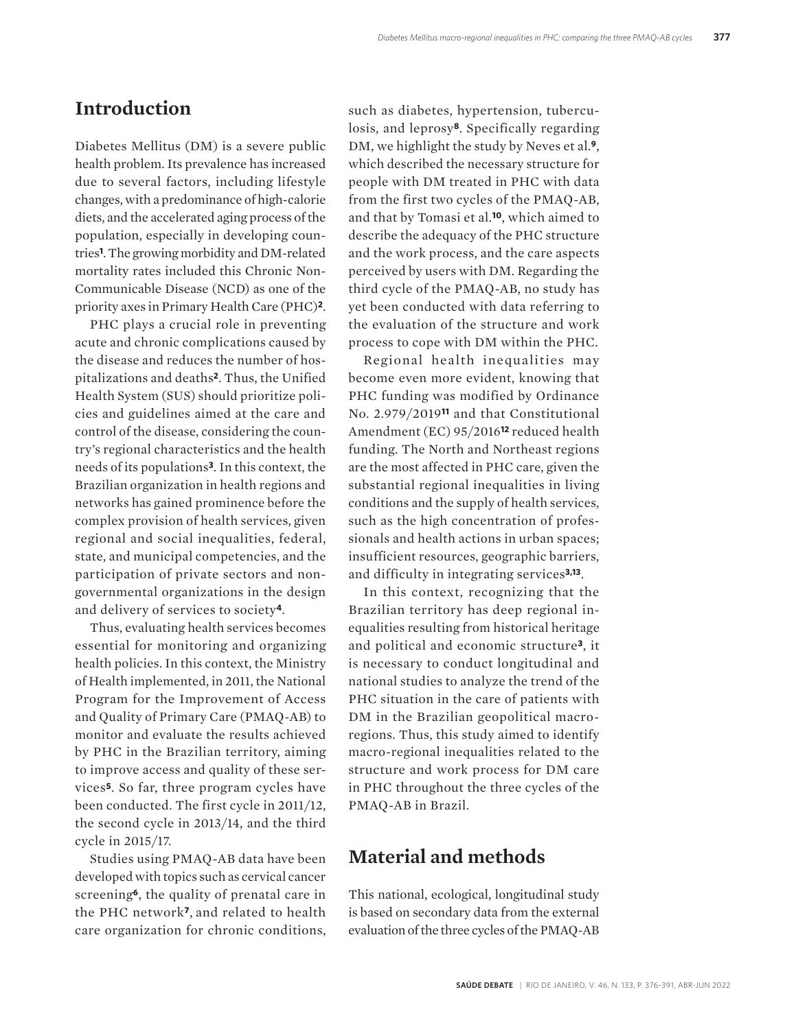# **Introduction**

Diabetes Mellitus (DM) is a severe public health problem. Its prevalence has increased due to several factors, including lifestyle changes, with a predominance of high-calorie diets, and the accelerated aging process of the population, especially in developing countries**1**. The growing morbidity and DM-related mortality rates included this Chronic Non-Communicable Disease (NCD) as one of the priority axes in Primary Health Care (PHC)**2**.

PHC plays a crucial role in preventing acute and chronic complications caused by the disease and reduces the number of hospitalizations and deaths**2**. Thus, the Unified Health System (SUS) should prioritize policies and guidelines aimed at the care and control of the disease, considering the country's regional characteristics and the health needs of its populations**3**. In this context, the Brazilian organization in health regions and networks has gained prominence before the complex provision of health services, given regional and social inequalities, federal, state, and municipal competencies, and the participation of private sectors and nongovernmental organizations in the design and delivery of services to society**4**.

Thus, evaluating health services becomes essential for monitoring and organizing health policies. In this context, the Ministry of Health implemented, in 2011, the National Program for the Improvement of Access and Quality of Primary Care (PMAQ-AB) to monitor and evaluate the results achieved by PHC in the Brazilian territory, aiming to improve access and quality of these services**5**. So far, three program cycles have been conducted. The first cycle in 2011/12, the second cycle in 2013/14, and the third cycle in 2015/17.

Studies using PMAQ-AB data have been developed with topics such as cervical cancer screening**6**, the quality of prenatal care in the PHC network**7**, and related to health care organization for chronic conditions,

such as diabetes, hypertension, tuberculosis, and leprosy**8**. Specifically regarding DM, we highlight the study by Neves et al.**9**, which described the necessary structure for people with DM treated in PHC with data from the first two cycles of the PMAQ-AB, and that by Tomasi et al.**10**, which aimed to describe the adequacy of the PHC structure and the work process, and the care aspects perceived by users with DM. Regarding the third cycle of the PMAQ-AB, no study has yet been conducted with data referring to the evaluation of the structure and work process to cope with DM within the PHC.

Regional health inequalities may become even more evident, knowing that PHC funding was modified by Ordinance No. 2.979/2019**11** and that Constitutional Amendment (EC) 95/2016**12** reduced health funding. The North and Northeast regions are the most affected in PHC care, given the substantial regional inequalities in living conditions and the supply of health services, such as the high concentration of professionals and health actions in urban spaces; insufficient resources, geographic barriers, and difficulty in integrating services**3,13**.

In this context, recognizing that the Brazilian territory has deep regional inequalities resulting from historical heritage and political and economic structure**3**, it is necessary to conduct longitudinal and national studies to analyze the trend of the PHC situation in the care of patients with DM in the Brazilian geopolitical macroregions. Thus, this study aimed to identify macro-regional inequalities related to the structure and work process for DM care in PHC throughout the three cycles of the PMAQ-AB in Brazil.

# **Material and methods**

This national, ecological, longitudinal study is based on secondary data from the external evaluation of the three cycles of the PMAQ-AB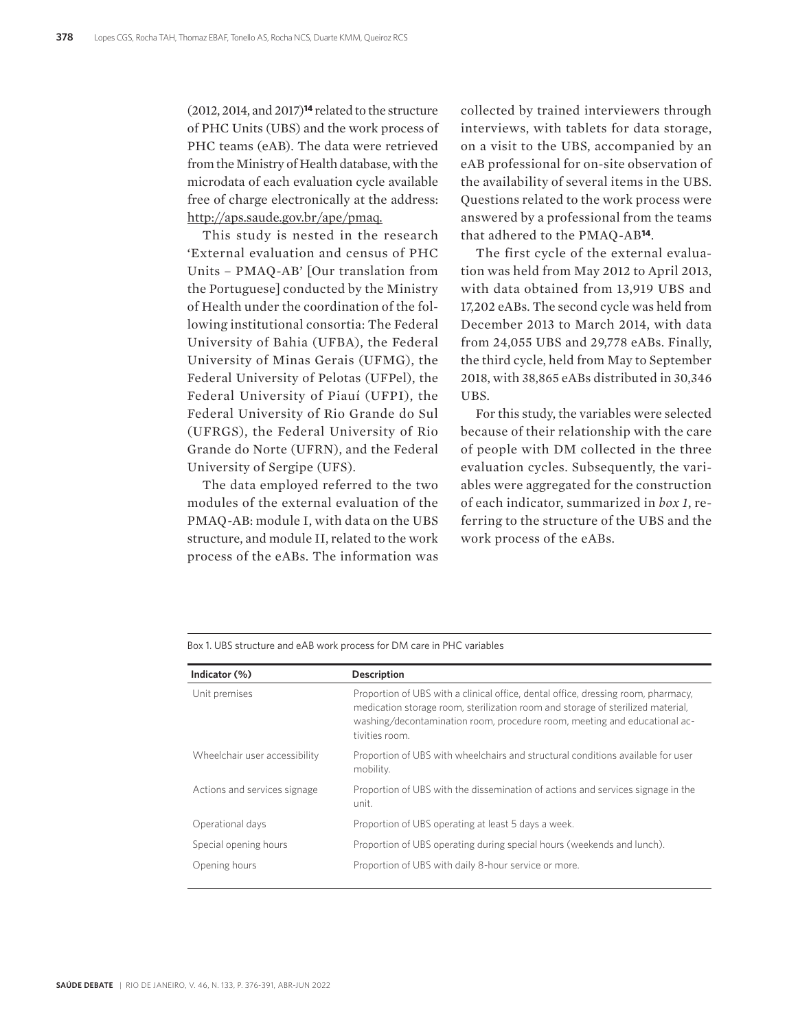(2012, 2014, and 2017)**14** related to the structure of PHC Units (UBS) and the work process of PHC teams (eAB). The data were retrieved from the Ministry of Health database, with the microdata of each evaluation cycle available free of charge electronically at the address: http://aps.saude.gov.br/ape/pmaq.

This study is nested in the research 'External evaluation and census of PHC Units – PMAQ-AB' [Our translation from the Portuguese] conducted by the Ministry of Health under the coordination of the following institutional consortia: The Federal University of Bahia (UFBA), the Federal University of Minas Gerais (UFMG), the Federal University of Pelotas (UFPel), the Federal University of Piauí (UFPI), the Federal University of Rio Grande do Sul (UFRGS), the Federal University of Rio Grande do Norte (UFRN), and the Federal University of Sergipe (UFS).

The data employed referred to the two modules of the external evaluation of the PMAQ-AB: module I, with data on the UBS structure, and module II, related to the work process of the eABs. The information was

collected by trained interviewers through interviews, with tablets for data storage, on a visit to the UBS, accompanied by an eAB professional for on-site observation of the availability of several items in the UBS. Questions related to the work process were answered by a professional from the teams that adhered to the PMAQ-AB**14**.

The first cycle of the external evaluation was held from May 2012 to April 2013, with data obtained from 13,919 UBS and 17,202 eABs. The second cycle was held from December 2013 to March 2014, with data from 24,055 UBS and 29,778 eABs. Finally, the third cycle, held from May to September 2018, with 38,865 eABs distributed in 30,346 UBS.

For this study, the variables were selected because of their relationship with the care of people with DM collected in the three evaluation cycles. Subsequently, the variables were aggregated for the construction of each indicator, summarized in *box 1*, referring to the structure of the UBS and the work process of the eABs.

| Indicator (%)                 | <b>Description</b>                                                                                                                                                                                                                                                  |
|-------------------------------|---------------------------------------------------------------------------------------------------------------------------------------------------------------------------------------------------------------------------------------------------------------------|
| Unit premises                 | Proportion of UBS with a clinical office, dental office, dressing room, pharmacy,<br>medication storage room, sterilization room and storage of sterilized material,<br>washing/decontamination room, procedure room, meeting and educational ac-<br>tivities room. |
| Wheelchair user accessibility | Proportion of UBS with wheelchairs and structural conditions available for user<br>mobility.                                                                                                                                                                        |
| Actions and services signage  | Proportion of UBS with the dissemination of actions and services signage in the<br>unit.                                                                                                                                                                            |
| Operational days              | Proportion of UBS operating at least 5 days a week.                                                                                                                                                                                                                 |
| Special opening hours         | Proportion of UBS operating during special hours (weekends and lunch).                                                                                                                                                                                              |
| Opening hours                 | Proportion of UBS with daily 8-hour service or more.                                                                                                                                                                                                                |

Box 1. UBS structure and eAB work process for DM care in PHC variables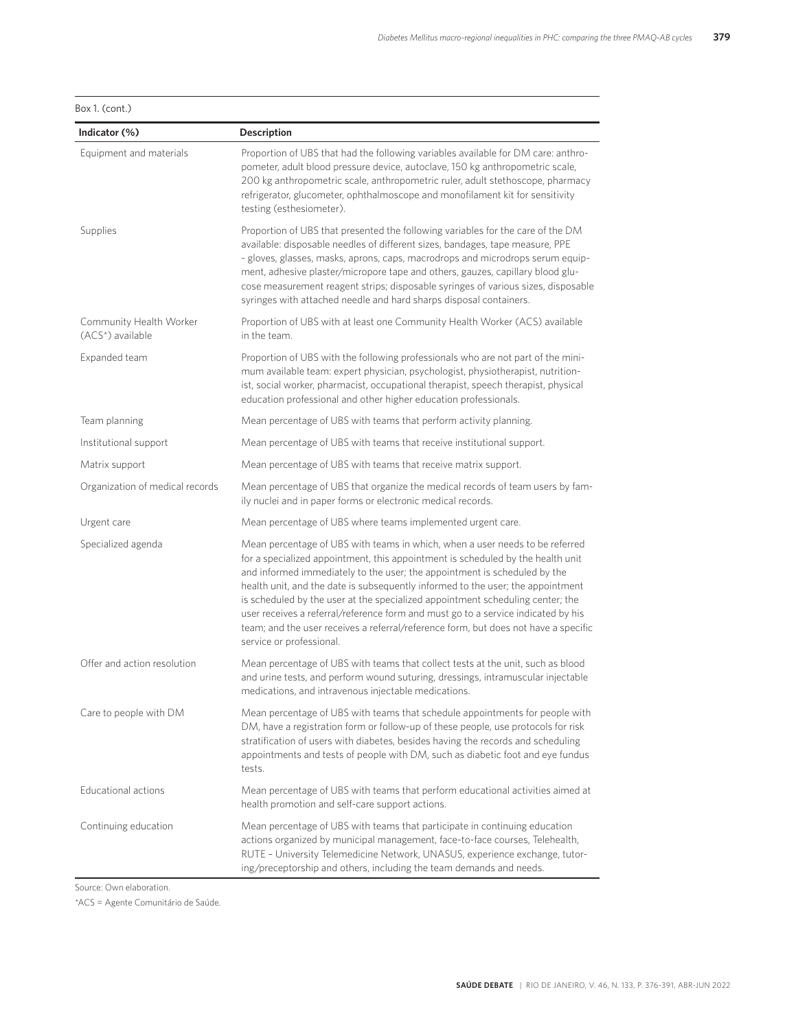Box 1. (cont.)

| Indicator (%)                               | <b>Description</b>                                                                                                                                                                                                                                                                                                                                                                                                                                                                                                                                                                                                        |
|---------------------------------------------|---------------------------------------------------------------------------------------------------------------------------------------------------------------------------------------------------------------------------------------------------------------------------------------------------------------------------------------------------------------------------------------------------------------------------------------------------------------------------------------------------------------------------------------------------------------------------------------------------------------------------|
| Equipment and materials                     | Proportion of UBS that had the following variables available for DM care: anthro-<br>pometer, adult blood pressure device, autoclave, 150 kg anthropometric scale,<br>200 kg anthropometric scale, anthropometric ruler, adult stethoscope, pharmacy<br>refrigerator, glucometer, ophthalmoscope and monofilament kit for sensitivity<br>testing (esthesiometer).                                                                                                                                                                                                                                                         |
| Supplies                                    | Proportion of UBS that presented the following variables for the care of the DM<br>available: disposable needles of different sizes, bandages, tape measure, PPE<br>- gloves, glasses, masks, aprons, caps, macrodrops and microdrops serum equip-<br>ment, adhesive plaster/micropore tape and others, gauzes, capillary blood glu-<br>cose measurement reagent strips; disposable syringes of various sizes, disposable<br>syringes with attached needle and hard sharps disposal containers.                                                                                                                           |
| Community Health Worker<br>(ACS*) available | Proportion of UBS with at least one Community Health Worker (ACS) available<br>in the team.                                                                                                                                                                                                                                                                                                                                                                                                                                                                                                                               |
| Expanded team                               | Proportion of UBS with the following professionals who are not part of the mini-<br>mum available team: expert physician, psychologist, physiotherapist, nutrition-<br>ist, social worker, pharmacist, occupational therapist, speech therapist, physical<br>education professional and other higher education professionals.                                                                                                                                                                                                                                                                                             |
| Team planning                               | Mean percentage of UBS with teams that perform activity planning.                                                                                                                                                                                                                                                                                                                                                                                                                                                                                                                                                         |
| Institutional support                       | Mean percentage of UBS with teams that receive institutional support.                                                                                                                                                                                                                                                                                                                                                                                                                                                                                                                                                     |
| Matrix support                              | Mean percentage of UBS with teams that receive matrix support.                                                                                                                                                                                                                                                                                                                                                                                                                                                                                                                                                            |
| Organization of medical records             | Mean percentage of UBS that organize the medical records of team users by fam-<br>ily nuclei and in paper forms or electronic medical records.                                                                                                                                                                                                                                                                                                                                                                                                                                                                            |
| Urgent care                                 | Mean percentage of UBS where teams implemented urgent care.                                                                                                                                                                                                                                                                                                                                                                                                                                                                                                                                                               |
| Specialized agenda                          | Mean percentage of UBS with teams in which, when a user needs to be referred<br>for a specialized appointment, this appointment is scheduled by the health unit<br>and informed immediately to the user; the appointment is scheduled by the<br>health unit, and the date is subsequently informed to the user; the appointment<br>is scheduled by the user at the specialized appointment scheduling center; the<br>user receives a referral/reference form and must go to a service indicated by his<br>team; and the user receives a referral/reference form, but does not have a specific<br>service or professional. |
| Offer and action resolution                 | Mean percentage of UBS with teams that collect tests at the unit, such as blood<br>and urine tests, and perform wound suturing, dressings, intramuscular injectable<br>medications, and intravenous injectable medications.                                                                                                                                                                                                                                                                                                                                                                                               |
| Care to people with DM                      | Mean percentage of UBS with teams that schedule appointments for people with<br>DM, have a registration form or follow-up of these people, use protocols for risk<br>stratification of users with diabetes, besides having the records and scheduling<br>appointments and tests of people with DM, such as diabetic foot and eye fundus<br>tests.                                                                                                                                                                                                                                                                         |
| Educational actions                         | Mean percentage of UBS with teams that perform educational activities aimed at<br>health promotion and self-care support actions.                                                                                                                                                                                                                                                                                                                                                                                                                                                                                         |
| Continuing education                        | Mean percentage of UBS with teams that participate in continuing education<br>actions organized by municipal management, face-to-face courses, Telehealth,<br>RUTE - University Telemedicine Network, UNASUS, experience exchange, tutor-<br>ing/preceptorship and others, including the team demands and needs.                                                                                                                                                                                                                                                                                                          |

Source: Own elaboration.

\*ACS = Agente Comunitário de Saúde.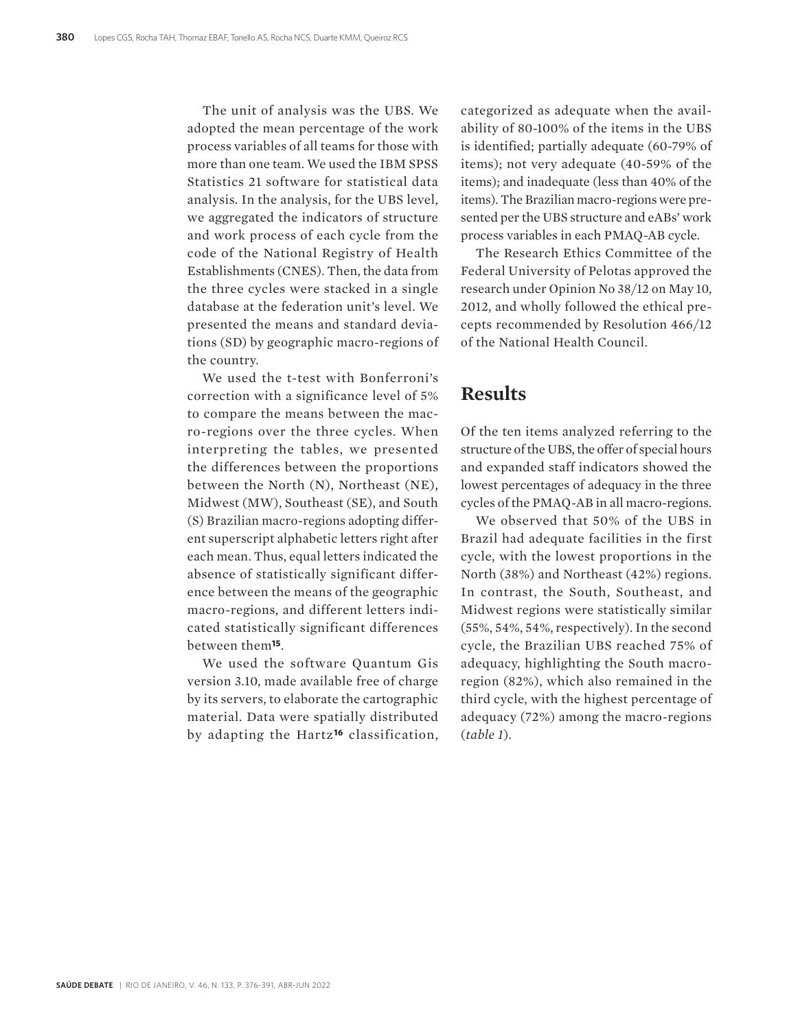The unit of analysis was the UBS. We adopted the mean percentage of the work process variables of all teams for those with more than one team. We used the IBM SPSS Statistics 21 software for statistical data analysis. In the analysis, for the UBS level, we aggregated the indicators of structure and work process of each cycle from the code of the National Registry of Health Establishments (CNES). Then, the data from the three cycles were stacked in a single database at the federation unit's level. We presented the means and standard deviations (SD) by geographic macro-regions of the country.

We used the t-test with Bonferroni's correction with a significance level of 5% to compare the means between the macro-regions over the three cycles. When interpreting the tables, we presented the differences between the proportions between the North (N), Northeast (NE), Midwest (MW), Southeast (SE), and South (S) Brazilian macro-regions adopting different superscript alphabetic letters right after each mean. Thus, equal letters indicated the absence of statistically significant difference between the means of the geographic macro-regions, and different letters indicated statistically significant differences between them**15**.

We used the software Quantum Gis version 3.10, made available free of charge by its servers, to elaborate the cartographic material. Data were spatially distributed by adapting the Hartz**16** classification, categorized as adequate when the availability of 80-100% of the items in the UBS is identified; partially adequate (60-79% of items); not very adequate (40-59% of the items); and inadequate (less than 40% of the items). The Brazilian macro-regions were presented per the UBS structure and eABs' work process variables in each PMAQ-AB cycle.

The Research Ethics Committee of the Federal University of Pelotas approved the research under Opinion No 38/12 on May 10, 2012, and wholly followed the ethical precepts recommended by Resolution 466/12 of the National Health Council.

## **Results**

Of the ten items analyzed referring to the structure of the UBS, the offer of special hours and expanded staff indicators showed the lowest percentages of adequacy in the three cycles of the PMAQ-AB in all macro-regions.

We observed that 50% of the UBS in Brazil had adequate facilities in the first cycle, with the lowest proportions in the North (38%) and Northeast (42%) regions. In contrast, the South, Southeast, and Midwest regions were statistically similar (55%, 54%, 54%, respectively). In the second cycle, the Brazilian UBS reached 75% of adequacy, highlighting the South macroregion (82%), which also remained in the third cycle, with the highest percentage of adequacy (72%) among the macro-regions (*table 1*).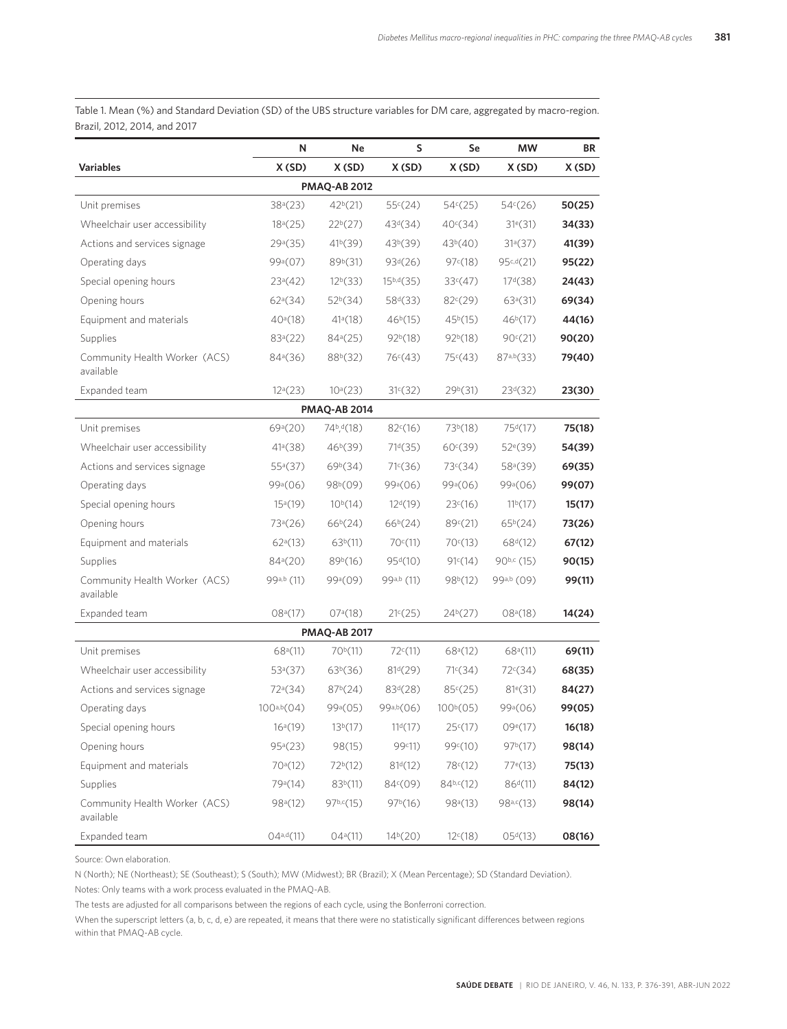Table 1. Mean (%) and Standard Deviation (SD) of the UBS structure variables for DM care, aggregated by macro-region. Brazil, 2012, 2014, and 2017

|                                            | N                    | Ne                                  | S                      | Se                    | MW                     | BR     |  |  |  |  |
|--------------------------------------------|----------------------|-------------------------------------|------------------------|-----------------------|------------------------|--------|--|--|--|--|
| <b>Variables</b>                           | X(SD)                | X(SD)                               | X(SD)                  | X(SD)                 | X(SD)                  | X(SD)  |  |  |  |  |
| <b>PMAQ-AB 2012</b>                        |                      |                                     |                        |                       |                        |        |  |  |  |  |
| Unit premises                              | 38 <sup>a</sup> (23) | 42 <sup>b</sup> (21)                | 55c(24)                | 54c(25)               | 54c(26)                | 50(25) |  |  |  |  |
| Wheelchair user accessibility              | 18 <sup>a</sup> (25) | 22 <sup>b</sup> (27)                | 43 <sup>d</sup> (34)   | 40c(34)               | 31 <sup>e</sup> (31)   | 34(33) |  |  |  |  |
| Actions and services signage               | 29 <sup>a</sup> (35) | 41b(39)                             | 43 <sup>b</sup> (39)   | 43 <sup>b</sup> (40)  | 31 <sup>°</sup> (37)   | 41(39) |  |  |  |  |
| Operating days                             | 99 <sup>a</sup> (07) | 89b(31)                             | 93 <sup>d</sup> (26)   | 97 <sup>c</sup> (18)  | 95c,d(21)              | 95(22) |  |  |  |  |
| Special opening hours                      | 23 <sup>a</sup> (42) | 12 <sup>b</sup> (33)                | 15 <sup>b,d</sup> (35) | 33c(47)               | 17 <sup>d</sup> (38)   | 24(43) |  |  |  |  |
| Opening hours                              | 62 <sup>a</sup> (34) | 52 <sup>b</sup> (34)                | 58 <sup>d</sup> (33)   | 82c(29)               | 63 <sup>a</sup> (31)   | 69(34) |  |  |  |  |
| Equipment and materials                    | 40 <sup>a</sup> (18) | 41 <sup>a</sup> (18)                | 46 <sup>b</sup> (15)   | 45 <sup>b</sup> (15)  | 46 <sup>b</sup> (17)   | 44(16) |  |  |  |  |
| Supplies                                   | 83 <sup>a</sup> (22) | 84 <sup>a</sup> (25)                | 92 <sup>b</sup> (18)   | 92 <sup>b</sup> (18)  | 90 <sup>c</sup> (21)   | 90(20) |  |  |  |  |
| Community Health Worker (ACS)<br>available | 84 <sup>a</sup> (36) | 88 <sup>b</sup> (32)                | 76 <sup>c</sup> (43)   | 75°(43)               | 87a,b(33)              | 79(40) |  |  |  |  |
| Expanded team                              | 12 <sup>a</sup> (23) | 10 <sup>a</sup> (23)                | 31 (32)                | 29 <sup>b</sup> (31)  | 23 <sup>d</sup> (32)   | 23(30) |  |  |  |  |
| <b>PMAQ-AB 2014</b>                        |                      |                                     |                        |                       |                        |        |  |  |  |  |
| Unit premises                              | 69 <sup>a</sup> (20) | 74 <sup>b</sup> , <sup>d</sup> (18) | 82c(16)                | 73b(18)               | 75 <sup>d</sup> (17)   | 75(18) |  |  |  |  |
| Wheelchair user accessibility              | 41 <sup>a</sup> (38) | 46 <sup>b</sup> (39)                | 71 <sup>d</sup> (35)   | 60c(39)               | 52e(39)                | 54(39) |  |  |  |  |
| Actions and services signage               | 55 <sup>a</sup> (37) | 69 <sup>b</sup> (34)                | 71 <sup>c</sup> (36)   | 73c(34)               | 58 <sup>a</sup> (39)   | 69(35) |  |  |  |  |
| Operating days                             | 99 <sup>a</sup> (06) | 98b(09)                             | 99 <sup>a</sup> (06)   | 99 <sub>a</sub> (06)  | 99 <sub>a</sub> (06)   | 99(07) |  |  |  |  |
| Special opening hours                      | 15 <sup>a</sup> (19) | 10 <sup>b</sup> (14)                | 12 <sup>d</sup> (19)   | 23c(16)               | 11 <sup>b</sup> (17)   | 15(17) |  |  |  |  |
| Opening hours                              | 73 <sup>a</sup> (26) | 66 <sup>b</sup> (24)                | $66^{b}(24)$           | 89c(21)               | $65\frac{b}{24}$       | 73(26) |  |  |  |  |
| Equipment and materials                    | 62 <sup>a</sup> (13) | 63 <sup>b</sup> (11)                | 70c(11)                | 70c(13)               | 68 <sup>d</sup> (12)   | 67(12) |  |  |  |  |
| Supplies                                   | $84^{\circ}(20)$     | 89b(16)                             | 95 <sup>d</sup> (10)   | 91c(14)               | 90 <sup>b,c</sup> (15) | 90(15) |  |  |  |  |
| Community Health Worker (ACS)<br>available | 99a,b (11)           | 99ª(09)                             | 99a,b (11)             | 98b(12)               | 99a,b (09)             | 99(11) |  |  |  |  |
| Expanded team                              | $08^{\circ}(17)$     | 07 <sup>a</sup> (18)                | 21c(25)                | 24 <sup>b</sup> (27)  | 08 <sup>a</sup> (18)   | 14(24) |  |  |  |  |
| <b>PMAQ-AB 2017</b>                        |                      |                                     |                        |                       |                        |        |  |  |  |  |
| Unit premises                              | 68 <sup>a</sup> (11) | 70 <sup>b</sup> (11)                | 72c(11)                | 68 <sup>a</sup> (12)  | 68 <sup>a</sup> (11)   | 69(11) |  |  |  |  |
| Wheelchair user accessibility              | 53 <sup>a</sup> (37) | 63 <sup>b</sup> (36)                | 81 <sup>d</sup> (29)   | 71c(34)               | $72^c(34)$             | 68(35) |  |  |  |  |
| Actions and services signage               | 72 <sup>a</sup> (34) | 87 <sup>b</sup> (24)                | 83 <sup>d</sup> (28)   | 85c(25)               | 81 (31)                | 84(27) |  |  |  |  |
| Operating days                             | $100^{a,b}(04)$      | 99 <sup>a</sup> (05)                | 99a,b(06)              | 100 <sup>b</sup> (05) | 99 <sup>a</sup> (06)   | 99(05) |  |  |  |  |
| Special opening hours                      | 16 <sup>a</sup> (19) | 13 <sup>b</sup> (17)                | 11 <sup>d</sup> (17)   | 25c(17)               | 09 <sup>e</sup> (17)   | 16(18) |  |  |  |  |
| Opening hours                              | 95 <sup>a</sup> (23) | 98(15)                              | 99 <sup>c</sup> 11)    | 99 <sup>c</sup> (10)  | 97b(17)                | 98(14) |  |  |  |  |
| Equipment and materials                    | 70 <sup>a</sup> (12) | 72 <sup>b</sup> (12)                | 81 <sup>d</sup> (12)   | 78 <sup>c</sup> (12)  | 77 <sup>e</sup> (13)   | 75(13) |  |  |  |  |
| Supplies                                   | 79 <sup>a</sup> (14) | 83b(11)                             | 84 <sup>c</sup> (09)   | 84b,c(12)             | 86 <sup>d</sup> (11)   | 84(12) |  |  |  |  |
| Community Health Worker (ACS)<br>available | 98 <sup>a</sup> (12) | 97 <sup>b,c</sup> (15)              | 97 <sup>b</sup> (16)   | 98 <sup>a</sup> (13)  | 98a, c(13)             | 98(14) |  |  |  |  |
| Expanded team                              | 04a,d(11)            | $04$ <sup>a</sup> $(11)$            | 14 <sup>b</sup> (20)   | 12c(18)               | 05 <sup>d</sup> (13)   | 08(16) |  |  |  |  |

Source: Own elaboration.

N (North); NE (Northeast); SE (Southeast); S (South); MW (Midwest); BR (Brazil); X (Mean Percentage); SD (Standard Deviation).

Notes: Only teams with a work process evaluated in the PMAQ-AB.

The tests are adjusted for all comparisons between the regions of each cycle, using the Bonferroni correction.

When the superscript letters (a, b, c, d, e) are repeated, it means that there were no statistically significant differences between regions within that PMAQ-AB cycle.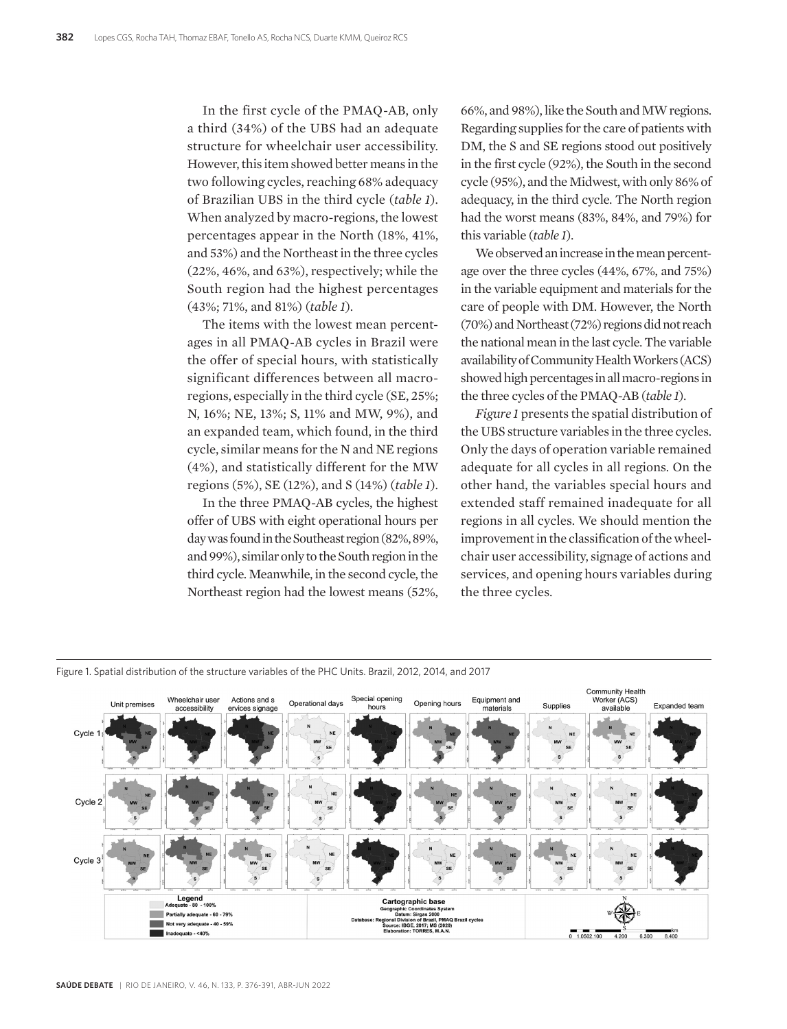In the first cycle of the PMAQ-AB, only a third (34%) of the UBS had an adequate structure for wheelchair user accessibility. However, this item showed better means in the two following cycles, reaching 68% adequacy of Brazilian UBS in the third cycle (*table 1*). When analyzed by macro-regions, the lowest percentages appear in the North (18%, 41%, and 53%) and the Northeast in the three cycles (22%, 46%, and 63%), respectively; while the South region had the highest percentages (43%; 71%, and 81%) (*table 1*).

The items with the lowest mean percentages in all PMAQ-AB cycles in Brazil were the offer of special hours, with statistically significant differences between all macroregions, especially in the third cycle (SE, 25%; N, 16%; NE, 13%; S, 11% and MW, 9%), and an expanded team, which found, in the third cycle, similar means for the N and NE regions (4%), and statistically different for the MW regions (5%), SE (12%), and S (14%) (*table 1*).

In the three PMAQ-AB cycles, the highest offer of UBS with eight operational hours per day was found in the Southeast region (82%, 89%, and 99%), similar only to the South region in the third cycle. Meanwhile, in the second cycle, the Northeast region had the lowest means (52%,

66%, and 98%), like the South and MW regions. Regarding supplies for the care of patients with DM, the S and SE regions stood out positively in the first cycle (92%), the South in the second cycle (95%), and the Midwest, with only 86% of adequacy, in the third cycle. The North region had the worst means (83%, 84%, and 79%) for this variable (*table 1*).

We observed an increase in the mean percentage over the three cycles (44%, 67%, and 75%) in the variable equipment and materials for the care of people with DM. However, the North (70%) and Northeast (72%) regions did not reach the national mean in the last cycle. The variable availability of Community Health Workers (ACS) showed high percentages in all macro-regions in the three cycles of the PMAQ-AB (*table 1*).

*Figure 1* presents the spatial distribution of the UBS structure variables in the three cycles. Only the days of operation variable remained adequate for all cycles in all regions. On the other hand, the variables special hours and extended staff remained inadequate for all regions in all cycles. We should mention the improvement in the classification of the wheelchair user accessibility, signage of actions and services, and opening hours variables during the three cycles.



**SAÚDE DEBATE** | RIO DE JANEIRO, V. 46, N. 133, P. 376-391, Abr-jun 2022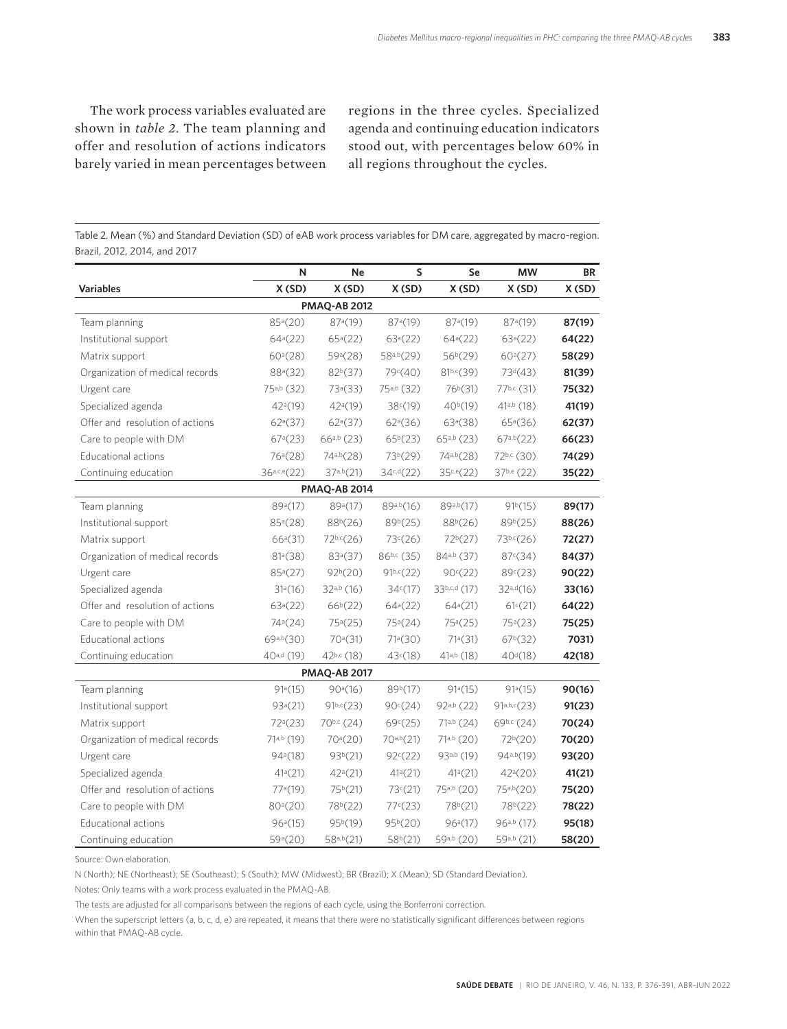The work process variables evaluated are shown in *table 2*. The team planning and offer and resolution of actions indicators barely varied in mean percentages between regions in the three cycles. Specialized agenda and continuing education indicators stood out, with percentages below 60% in all regions throughout the cycles.

Table 2. Mean (%) and Standard Deviation (SD) of eAB work process variables for DM care, aggregated by macro-region. Brazil, 2012, 2014, and 2017

|                                 | N                    | <b>Ne</b>              | S                      | Se                   | <b>MW</b>              | <b>BR</b> |  |  |
|---------------------------------|----------------------|------------------------|------------------------|----------------------|------------------------|-----------|--|--|
| <b>Variables</b>                | X(SD)                | X(SD)                  | X(SD)                  | X(SD)                | X(SD)                  | X(SD)     |  |  |
| <b>PMAQ-AB 2012</b>             |                      |                        |                        |                      |                        |           |  |  |
| Team planning                   | 85 <sup>a</sup> (20) | 87 <sup>a</sup> (19)   | 87 <sup>a</sup> (19)   | 87 <sup>a</sup> (19) | 87 <sup>a</sup> (19)   | 87(19)    |  |  |
| Institutional support           | 64a(22)              | 65 <sup>a</sup> (22)   | 63 <sup>a</sup> (22)   | 64 <sup>a</sup> (22) | 63 <sup>a</sup> (22)   | 64(22)    |  |  |
| Matrix support                  | 60 <sup>a</sup> (28) | 59 <sup>a</sup> (28)   | 58a,b(29)              | 56 <sup>b</sup> (29) | 60 <sup>a</sup> (27)   | 58(29)    |  |  |
| Organization of medical records | 88 <sup>a</sup> (32) | 82b(37)                | 79 <sup>c</sup> (40)   | 81b,c(39)            | 73 <sup>d</sup> (43)   | 81(39)    |  |  |
| Urgent care                     | 75a,b (32)           | 73 <sup>a</sup> (33)   | 75a,b (32)             | 76 <sup>b</sup> (31) | 77b,c (31)             | 75(32)    |  |  |
| Specialized agenda              | 42 <sup>a</sup> (19) | 42 <sup>a</sup> (19)   | 38c(19)                | 40 <sup>b</sup> (19) | 41a,b(18)              | 41(19)    |  |  |
| Offer and resolution of actions | 62 <sup>a</sup> (37) | 62 <sup>a</sup> (37)   | 62 <sup>a</sup> (36)   | 63 <sup>a</sup> (38) | 65 <sup>a</sup> (36)   | 62(37)    |  |  |
| Care to people with DM          | 67 <sup>a</sup> (23) | 66a,b (23)             | 65 <sup>b</sup> (23)   | 65a,b (23)           | 67a,b(22)              | 66(23)    |  |  |
| Educational actions             | 76 <sup>a</sup> (28) | 74a,b(28)              | 73 <sup>b</sup> (29)   | 74a,b(28)            | 72b,c (30)             | 74(29)    |  |  |
| Continuing education            | 36a,c,e(22)          | 37a,b(21)              | 34c,d(22)              | 35c,e(22)            | 37b,e (22)             | 35(22)    |  |  |
|                                 |                      | <b>PMAQ-AB 2014</b>    |                        |                      |                        |           |  |  |
| Team planning                   | 89 <sup>a</sup> (17) | 89 <sup>a</sup> (17)   | 89a,b(16)              | 89a,b(17)            | 91 <sup>b</sup> (15)   | 89(17)    |  |  |
| Institutional support           | 85 <sup>a</sup> (28) | 88 <sup>b</sup> (26)   | 89b(25)                | 88 <sup>b</sup> (26) | 89b(25)                | 88(26)    |  |  |
| Matrix support                  | 66a(31)              | 72b,c(26)              | 73c(26)                | 72 <sup>b</sup> (27) | 73b,c(26)              | 72(27)    |  |  |
| Organization of medical records | 81 <sup>°</sup> (38) | 83 <sup>a</sup> (37)   | 86b,c (35)             | 84a,b (37)           | 87c(34)                | 84(37)    |  |  |
| Urgent care                     | 85 <sup>a</sup> (27) | 92 <sup>b</sup> (20)   | 91 <sup>b,c</sup> (22) | $90^{\circ}(22)$     | 89c(23)                | 90(22)    |  |  |
| Specialized agenda              | 31 <sup>a</sup> (16) | 32 <sup>a,b</sup> (16) | 34c(17)                | 33b,c,d (17)         | 32 <sup>a,d</sup> (16) | 33(16)    |  |  |
| Offer and resolution of actions | 63 <sup>a</sup> (22) | 66 <sup>b</sup> (22)   | 64 <sup>a</sup> (22)   | 64 <sup>a</sup> (21) | 61c(21)                | 64(22)    |  |  |
| Care to people with DM          | 74 <sup>a</sup> (24) | 75 <sup>a</sup> (25)   | 75 <sup>a</sup> (24)   | 75 <sup>a</sup> (25) | 75 <sup>a</sup> (23)   | 75(25)    |  |  |
| Educational actions             | 69a,b(30)            | 70 <sup>a</sup> (31)   | 71 <sup>a</sup> (30)   | 71 <sup>a</sup> (31) | 67 <sup>b</sup> (32)   | 7031)     |  |  |
| Continuing education            | 40a,d (19)           | 42b,c (18)             | 43c(18)                | 41a,b (18)           | 40 <sup>d</sup> (18)   | 42(18)    |  |  |
|                                 |                      | <b>PMAQ-AB 2017</b>    |                        |                      |                        |           |  |  |
| Team planning                   | 91 <sup>a</sup> (15) | 90 <sup>a</sup> (16)   | 89 <sup>b</sup> (17)   | 91 <sup>a</sup> (15) | 91 <sup>a</sup> (15)   | 90(16)    |  |  |
| Institutional support           | 93 <sup>a</sup> (21) | 91 <sub>b,c</sub> (23) | 90 (24)                | 92a,b (22)           | 91a,b,c(23)            | 91(23)    |  |  |
| Matrix support                  | 72 <sup>a</sup> (23) | 70b,c (24)             | 69c(25)                | 71a,b (24)           | 69b,c (24)             | 70(24)    |  |  |
| Organization of medical records | 71a,b (19)           | 70 <sup>a</sup> (20)   | 70 <sup>a,b</sup> (21) | 71a,b (20)           | 72 <sup>b</sup> (20)   | 70(20)    |  |  |
| Urgent care                     | 94 <sup>a</sup> (18) | 93b(21)                | 92c(22)                | 93a,b (19)           | 94a,b(19)              | 93(20)    |  |  |
| Specialized agenda              | 41a(21)              | 42a(21)                | 41 <sup>a</sup> (21)   | 41 <sup>a</sup> (21) | 42 <sup>a</sup> (20)   | 41(21)    |  |  |
| Offer and resolution of actions | 77 <sup>a</sup> (19) | 75 <sup>b</sup> (21)   | 73c(21)                | 75a,b (20)           | 75a,b(20)              | 75(20)    |  |  |
| Care to people with DM          | 80 <sup>a</sup> (20) | 78 <sup>b</sup> (22)   | 77c(23)                | 78 <sup>b</sup> (21) | 78 <sup>b</sup> (22)   | 78(22)    |  |  |
| <b>Educational actions</b>      | 96 <sup>a</sup> (15) | 95b(19)                | 95 <sup>b</sup> (20)   | 96 <sup>a</sup> (17) | 96a,b(17)              | 95(18)    |  |  |
| Continuing education            | 59 <sup>a</sup> (20) | 58a,b(21)              | 58 <sup>b</sup> (21)   | 59a,b (20)           | 59a,b (21)             | 58(20)    |  |  |

Source: Own elaboration.

N (North); NE (Northeast); SE (Southeast); S (South); MW (Midwest); BR (Brazil); X (Mean); SD (Standard Deviation).

Notes: Only teams with a work process evaluated in the PMAQ-AB.

The tests are adjusted for all comparisons between the regions of each cycle, using the Bonferroni correction.

When the superscript letters (a, b, c, d, e) are repeated, it means that there were no statistically significant differences between regions within that PMAQ-AB cycle.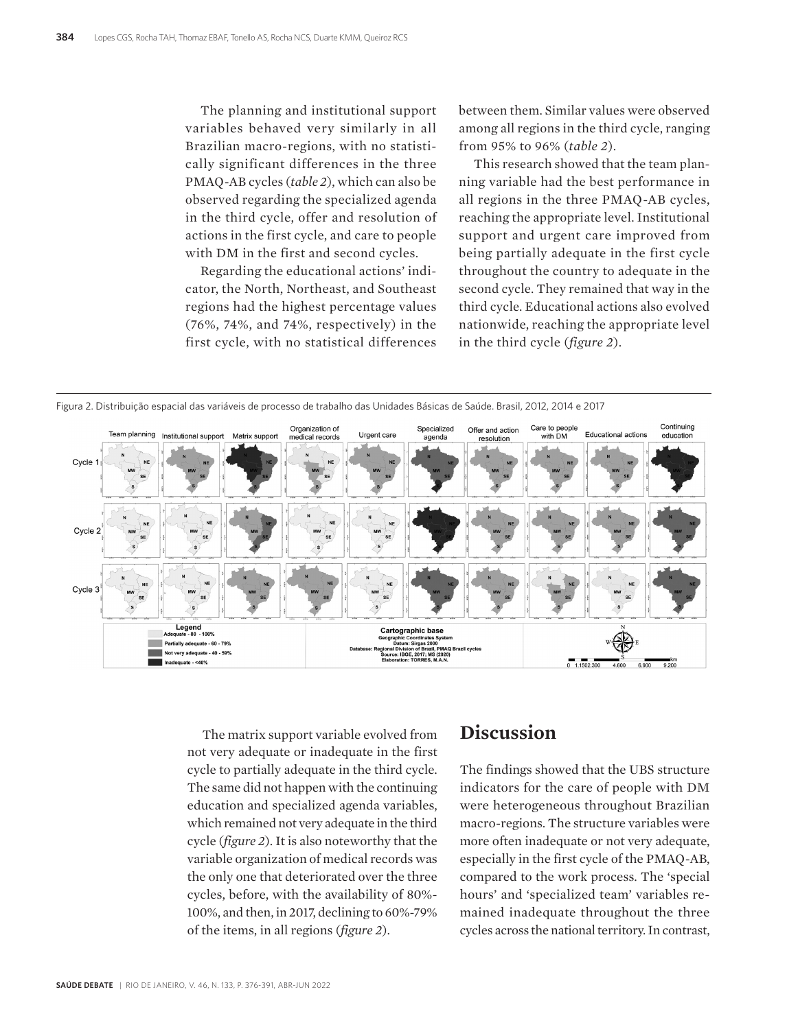The planning and institutional support variables behaved very similarly in all Brazilian macro-regions, with no statistically significant differences in the three PMAQ-AB cycles (*table 2*), which can also be observed regarding the specialized agenda in the third cycle, offer and resolution of actions in the first cycle, and care to people with DM in the first and second cycles.

Regarding the educational actions' indicator, the North, Northeast, and Southeast regions had the highest percentage values (76%, 74%, and 74%, respectively) in the first cycle, with no statistical differences between them. Similar values were observed among all regions in the third cycle, ranging from 95% to 96% (*table 2*).

This research showed that the team planning variable had the best performance in all regions in the three PMAQ-AB cycles, reaching the appropriate level. Institutional support and urgent care improved from being partially adequate in the first cycle throughout the country to adequate in the second cycle. They remained that way in the third cycle. Educational actions also evolved nationwide, reaching the appropriate level in the third cycle (*figure 2*).





The matrix support variable evolved from not very adequate or inadequate in the first cycle to partially adequate in the third cycle. The same did not happen with the continuing education and specialized agenda variables, which remained not very adequate in the third cycle (*figure 2*). It is also noteworthy that the variable organization of medical records was the only one that deteriorated over the three cycles, before, with the availability of 80%- 100%, and then, in 2017, declining to 60%-79% of the items, in all regions (*figure 2*).

#### **Discussion**

The findings showed that the UBS structure indicators for the care of people with DM were heterogeneous throughout Brazilian macro-regions. The structure variables were more often inadequate or not very adequate, especially in the first cycle of the PMAQ-AB, compared to the work process. The 'special hours' and 'specialized team' variables remained inadequate throughout the three cycles across the national territory. In contrast,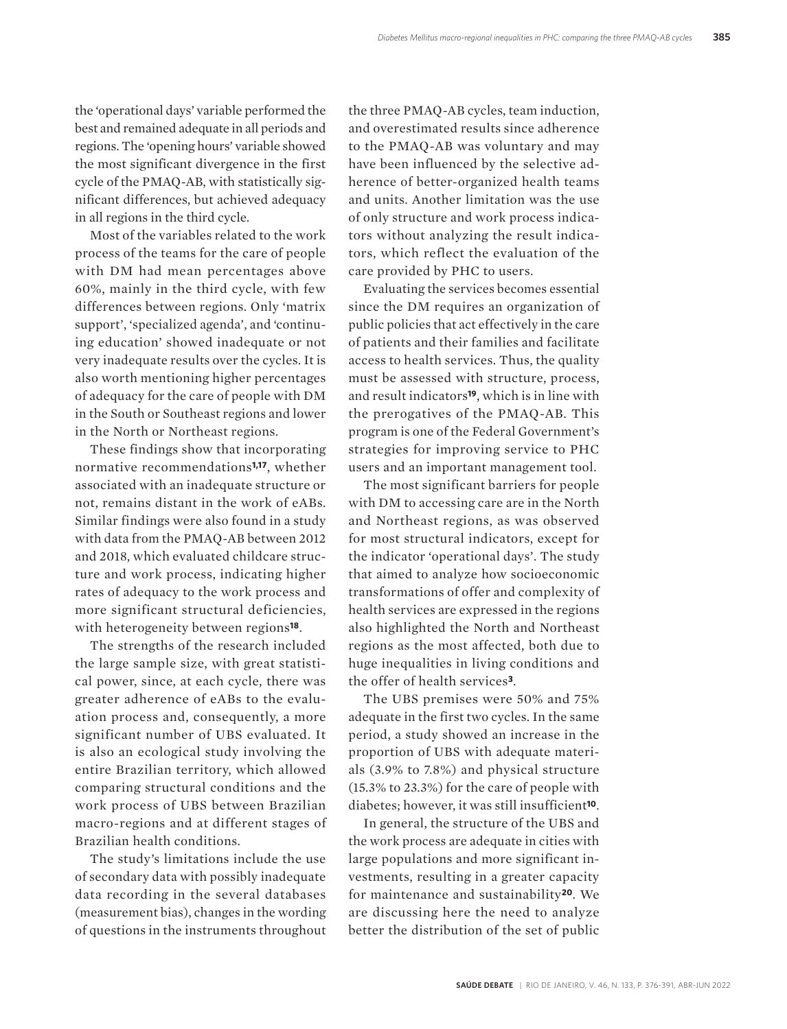the 'operational days' variable performed the best and remained adequate in all periods and regions. The 'opening hours' variable showed the most significant divergence in the first cycle of the PMAQ-AB, with statistically significant differences, but achieved adequacy in all regions in the third cycle.

Most of the variables related to the work process of the teams for the care of people with DM had mean percentages above 60%, mainly in the third cycle, with few differences between regions. Only 'matrix support', 'specialized agenda', and 'continuing education' showed inadequate or not very inadequate results over the cycles. It is also worth mentioning higher percentages of adequacy for the care of people with DM in the South or Southeast regions and lower in the North or Northeast regions.

These findings show that incorporating normative recommendations**1,17**, whether associated with an inadequate structure or not, remains distant in the work of eABs. Similar findings were also found in a study with data from the PMAQ-AB between 2012 and 2018, which evaluated childcare structure and work process, indicating higher rates of adequacy to the work process and more significant structural deficiencies, with heterogeneity between regions**18**.

The strengths of the research included the large sample size, with great statistical power, since, at each cycle, there was greater adherence of eABs to the evaluation process and, consequently, a more significant number of UBS evaluated. It is also an ecological study involving the entire Brazilian territory, which allowed comparing structural conditions and the work process of UBS between Brazilian macro-regions and at different stages of Brazilian health conditions.

The study's limitations include the use of secondary data with possibly inadequate data recording in the several databases (measurement bias), changes in the wording of questions in the instruments throughout

the three PMAQ-AB cycles, team induction, and overestimated results since adherence to the PMAQ-AB was voluntary and may have been influenced by the selective adherence of better-organized health teams and units. Another limitation was the use of only structure and work process indicators without analyzing the result indicators, which reflect the evaluation of the care provided by PHC to users.

Evaluating the services becomes essential since the DM requires an organization of public policies that act effectively in the care of patients and their families and facilitate access to health services. Thus, the quality must be assessed with structure, process, and result indicators**19**, which is in line with the prerogatives of the PMAQ-AB. This program is one of the Federal Government's strategies for improving service to PHC users and an important management tool.

The most significant barriers for people with DM to accessing care are in the North and Northeast regions, as was observed for most structural indicators, except for the indicator 'operational days'. The study that aimed to analyze how socioeconomic transformations of offer and complexity of health services are expressed in the regions also highlighted the North and Northeast regions as the most affected, both due to huge inequalities in living conditions and the offer of health services**3**.

The UBS premises were 50% and 75% adequate in the first two cycles. In the same period, a study showed an increase in the proportion of UBS with adequate materials (3.9% to 7.8%) and physical structure (15.3% to 23.3%) for the care of people with diabetes; however, it was still insufficient**10**.

In general, the structure of the UBS and the work process are adequate in cities with large populations and more significant investments, resulting in a greater capacity for maintenance and sustainability**20**. We are discussing here the need to analyze better the distribution of the set of public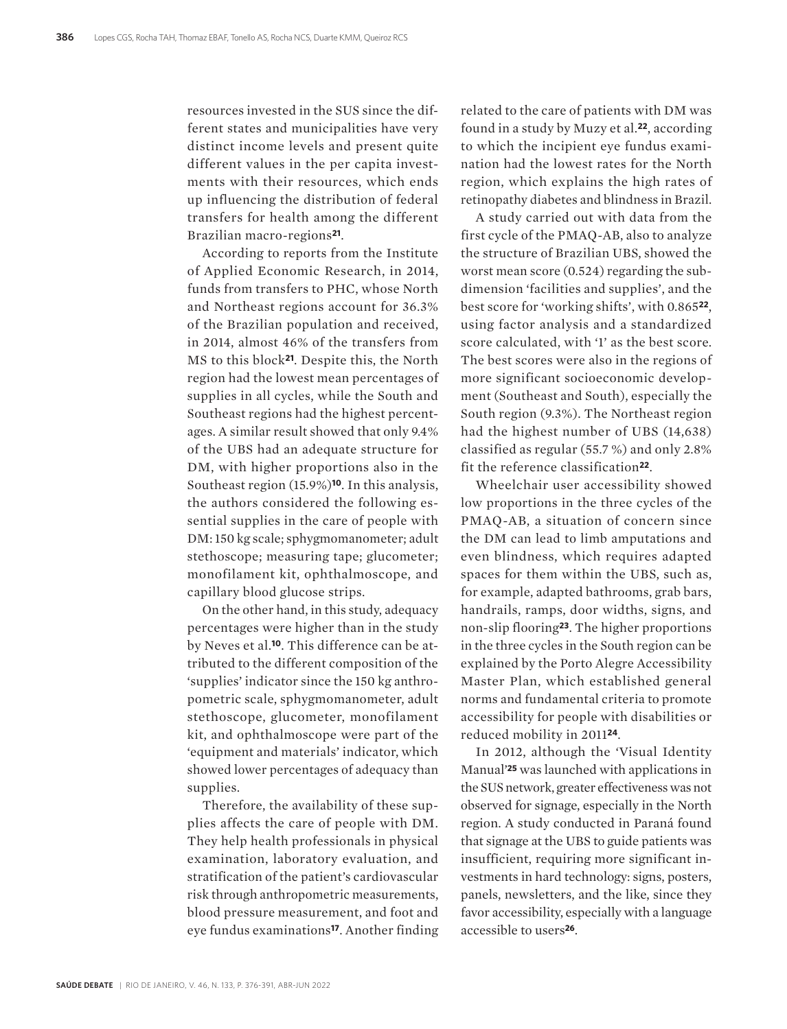resources invested in the SUS since the different states and municipalities have very distinct income levels and present quite different values in the per capita investments with their resources, which ends up influencing the distribution of federal transfers for health among the different Brazilian macro-regions**21**.

According to reports from the Institute of Applied Economic Research, in 2014, funds from transfers to PHC, whose North and Northeast regions account for 36.3% of the Brazilian population and received, in 2014, almost 46% of the transfers from MS to this block**21**. Despite this, the North region had the lowest mean percentages of supplies in all cycles, while the South and Southeast regions had the highest percentages. A similar result showed that only 9.4% of the UBS had an adequate structure for DM, with higher proportions also in the Southeast region (15.9%)**10**. In this analysis, the authors considered the following essential supplies in the care of people with DM: 150 kg scale; sphygmomanometer; adult stethoscope; measuring tape; glucometer; monofilament kit, ophthalmoscope, and capillary blood glucose strips.

On the other hand, in this study, adequacy percentages were higher than in the study by Neves et al.**10**. This difference can be attributed to the different composition of the 'supplies' indicator since the 150 kg anthropometric scale, sphygmomanometer, adult stethoscope, glucometer, monofilament kit, and ophthalmoscope were part of the 'equipment and materials' indicator, which showed lower percentages of adequacy than supplies.

Therefore, the availability of these supplies affects the care of people with DM. They help health professionals in physical examination, laboratory evaluation, and stratification of the patient's cardiovascular risk through anthropometric measurements, blood pressure measurement, and foot and eye fundus examinations**17**. Another finding related to the care of patients with DM was found in a study by Muzy et al.**22**, according to which the incipient eye fundus examination had the lowest rates for the North region, which explains the high rates of retinopathy diabetes and blindness in Brazil.

A study carried out with data from the first cycle of the PMAQ-AB, also to analyze the structure of Brazilian UBS, showed the worst mean score (0.524) regarding the subdimension 'facilities and supplies', and the best score for 'working shifts', with 0.865**22**, using factor analysis and a standardized score calculated, with '1' as the best score. The best scores were also in the regions of more significant socioeconomic development (Southeast and South), especially the South region (9.3%). The Northeast region had the highest number of UBS (14,638) classified as regular (55.7 %) and only 2.8% fit the reference classification**22**.

Wheelchair user accessibility showed low proportions in the three cycles of the PMAQ-AB, a situation of concern since the DM can lead to limb amputations and even blindness, which requires adapted spaces for them within the UBS, such as, for example, adapted bathrooms, grab bars, handrails, ramps, door widths, signs, and non-slip flooring**23**. The higher proportions in the three cycles in the South region can be explained by the Porto Alegre Accessibility Master Plan, which established general norms and fundamental criteria to promote accessibility for people with disabilities or reduced mobility in 2011**24**.

In 2012, although the 'Visual Identity Manual'**25** was launched with applications in the SUS network, greater effectiveness was not observed for signage, especially in the North region. A study conducted in Paraná found that signage at the UBS to guide patients was insufficient, requiring more significant investments in hard technology: signs, posters, panels, newsletters, and the like, since they favor accessibility, especially with a language accessible to users**26**.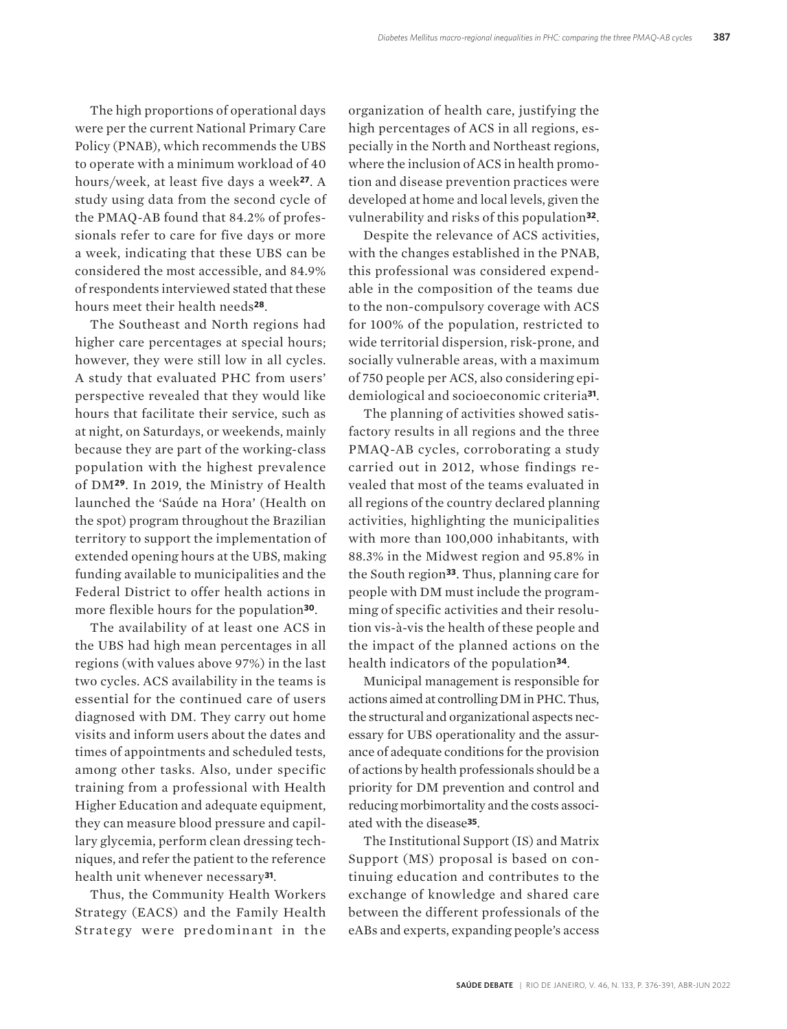The high proportions of operational days were per the current National Primary Care Policy (PNAB), which recommends the UBS to operate with a minimum workload of 40 hours/week, at least five days a week**27**. A study using data from the second cycle of the PMAQ-AB found that 84.2% of professionals refer to care for five days or more a week, indicating that these UBS can be considered the most accessible, and 84.9% of respondents interviewed stated that these hours meet their health needs**28**.

The Southeast and North regions had higher care percentages at special hours; however, they were still low in all cycles. A study that evaluated PHC from users' perspective revealed that they would like hours that facilitate their service, such as at night, on Saturdays, or weekends, mainly because they are part of the working-class population with the highest prevalence of DM**29**. In 2019, the Ministry of Health launched the 'Saúde na Hora' (Health on the spot) program throughout the Brazilian territory to support the implementation of extended opening hours at the UBS, making funding available to municipalities and the Federal District to offer health actions in more flexible hours for the population**30**.

The availability of at least one ACS in the UBS had high mean percentages in all regions (with values above 97%) in the last two cycles. ACS availability in the teams is essential for the continued care of users diagnosed with DM. They carry out home visits and inform users about the dates and times of appointments and scheduled tests, among other tasks. Also, under specific training from a professional with Health Higher Education and adequate equipment, they can measure blood pressure and capillary glycemia, perform clean dressing techniques, and refer the patient to the reference health unit whenever necessary**31**.

Thus, the Community Health Workers Strategy (EACS) and the Family Health Strategy were predominant in the

organization of health care, justifying the high percentages of ACS in all regions, especially in the North and Northeast regions, where the inclusion of ACS in health promotion and disease prevention practices were developed at home and local levels, given the vulnerability and risks of this population**32**.

Despite the relevance of ACS activities, with the changes established in the PNAB, this professional was considered expendable in the composition of the teams due to the non-compulsory coverage with ACS for 100% of the population, restricted to wide territorial dispersion, risk-prone, and socially vulnerable areas, with a maximum of 750 people per ACS, also considering epidemiological and socioeconomic criteria**31**.

The planning of activities showed satisfactory results in all regions and the three PMAQ-AB cycles, corroborating a study carried out in 2012, whose findings revealed that most of the teams evaluated in all regions of the country declared planning activities, highlighting the municipalities with more than 100,000 inhabitants, with 88.3% in the Midwest region and 95.8% in the South region**33**. Thus, planning care for people with DM must include the programming of specific activities and their resolution vis-à-vis the health of these people and the impact of the planned actions on the health indicators of the population**34**.

Municipal management is responsible for actions aimed at controlling DM in PHC. Thus, the structural and organizational aspects necessary for UBS operationality and the assurance of adequate conditions for the provision of actions by health professionals should be a priority for DM prevention and control and reducing morbimortality and the costs associated with the disease**35**.

The Institutional Support (IS) and Matrix Support (MS) proposal is based on continuing education and contributes to the exchange of knowledge and shared care between the different professionals of the eABs and experts, expanding people's access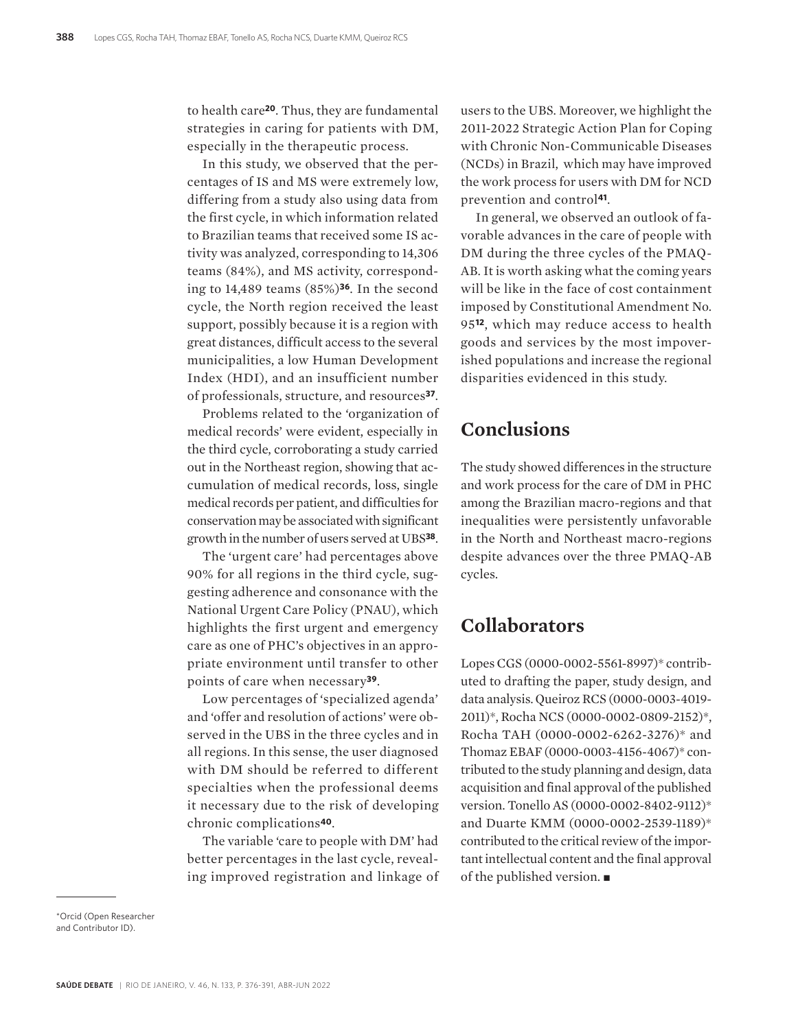to health care**20**. Thus, they are fundamental strategies in caring for patients with DM, especially in the therapeutic process.

In this study, we observed that the percentages of IS and MS were extremely low, differing from a study also using data from the first cycle, in which information related to Brazilian teams that received some IS activity was analyzed, corresponding to 14,306 teams (84%), and MS activity, corresponding to 14,489 teams (85%)**36**. In the second cycle, the North region received the least support, possibly because it is a region with great distances, difficult access to the several municipalities, a low Human Development Index (HDI), and an insufficient number of professionals, structure, and resources**37**.

Problems related to the 'organization of medical records' were evident, especially in the third cycle, corroborating a study carried out in the Northeast region, showing that accumulation of medical records, loss, single medical records per patient, and difficulties for conservation may be associated with significant growth in the number of users served at UBS**38**.

The 'urgent care' had percentages above 90% for all regions in the third cycle, suggesting adherence and consonance with the National Urgent Care Policy (PNAU), which highlights the first urgent and emergency care as one of PHC's objectives in an appropriate environment until transfer to other points of care when necessary**39**.

Low percentages of 'specialized agenda' and 'offer and resolution of actions' were observed in the UBS in the three cycles and in all regions. In this sense, the user diagnosed with DM should be referred to different specialties when the professional deems it necessary due to the risk of developing chronic complications**40**.

The variable 'care to people with DM' had better percentages in the last cycle, revealing improved registration and linkage of users to the UBS. Moreover, we highlight the 2011-2022 Strategic Action Plan for Coping with Chronic Non-Communicable Diseases (NCDs) in Brazil, which may have improved the work process for users with DM for NCD prevention and control**41**.

In general, we observed an outlook of favorable advances in the care of people with DM during the three cycles of the PMAQ-AB. It is worth asking what the coming years will be like in the face of cost containment imposed by Constitutional Amendment No. 95**12**, which may reduce access to health goods and services by the most impoverished populations and increase the regional disparities evidenced in this study.

# **Conclusions**

The study showed differences in the structure and work process for the care of DM in PHC among the Brazilian macro-regions and that inequalities were persistently unfavorable in the North and Northeast macro-regions despite advances over the three PMAQ-AB cycles.

# **Collaborators**

Lopes CGS (0000-0002-5561-8997)\* contributed to drafting the paper, study design, and data analysis. Queiroz RCS (0000-0003-4019- 2011)\*, Rocha NCS (0000-0002-0809-2152)\*, Rocha TAH (0000-0002-6262-3276)\* and Thomaz EBAF (0000-0003-4156-4067)\* contributed to the study planning and design, data acquisition and final approval of the published version. Tonello AS (0000-0002-8402-9112)\* and Duarte KMM (0000-0002-2539-1189)\* contributed to the critical review of the important intellectual content and the final approval of the published version.  $\blacksquare$ 

\*Orcid (Open Researcher and Contributor ID).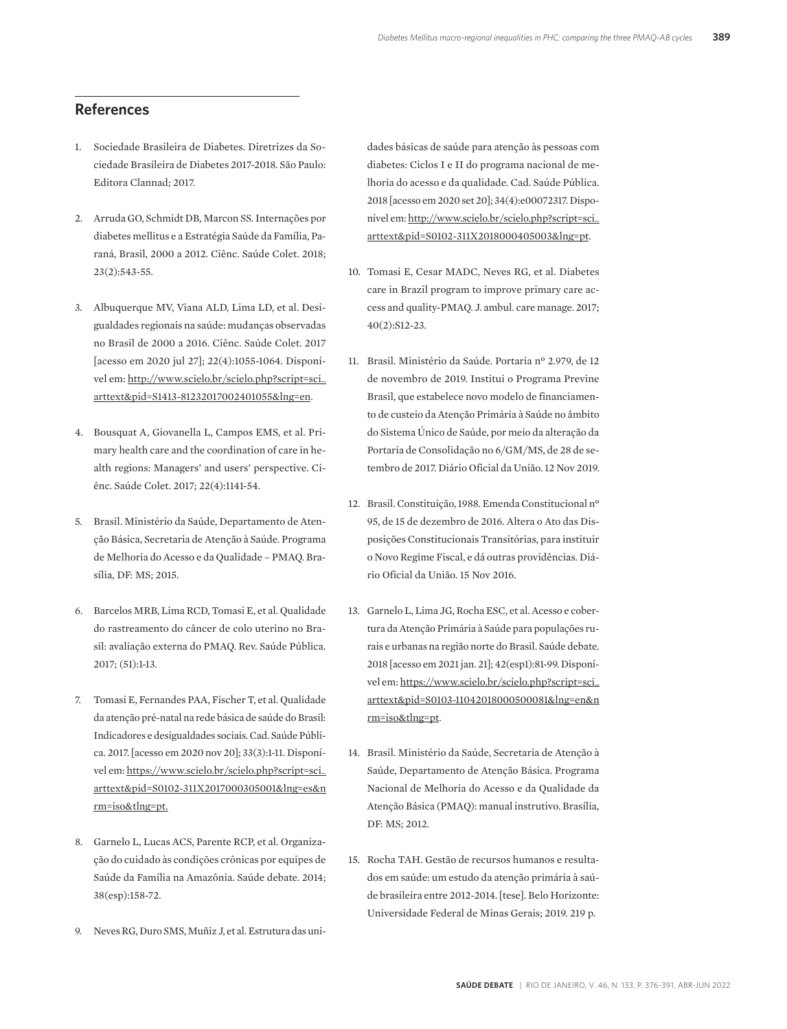#### **References**

- 1. Sociedade Brasileira de Diabetes. Diretrizes da Sociedade Brasileira de Diabetes 2017-2018. São Paulo: Editora Clannad; 2017.
- 2. Arruda GO, Schmidt DB, Marcon SS. Internações por diabetes mellitus e a Estratégia Saúde da Família, Paraná, Brasil, 2000 a 2012. Ciênc. Saúde Colet. 2018;  $23(2):543-55.$
- 3. Albuquerque MV, Viana ALD, Lima LD, et al. Desigualdades regionais na saúde: mudanças observadas no Brasil de 2000 a 2016. Ciênc. Saúde Colet. 2017 [acesso em 2020 jul 27]; 22(4):1055-1064. Disponível em: http://www.scielo.br/scielo.php?script=sci\_ arttext&pid=S1413-81232017002401055&lng=en.
- 4. Bousquat A, Giovanella L, Campos EMS, et al. Primary health care and the coordination of care in health regions: Managers' and users' perspective. Ciênc. Saúde Colet. 2017; 22(4):1141-54.
- 5. Brasil. Ministério da Saúde, Departamento de Atenção Básica, Secretaria de Atenção à Saúde. Programa de Melhoria do Acesso e da Qualidade – PMAQ. Brasília, DF: MS; 2015.
- 6. Barcelos MRB, Lima RCD, Tomasi E, et al. Qualidade do rastreamento do câncer de colo uterino no Brasil: avaliação externa do PMAQ. Rev. Saúde Pública. 2017; (51):1-13.
- 7. Tomasi E, Fernandes PAA, Fischer T, et al. Qualidade da atenção pré-natal na rede básica de saúde do Brasil: Indicadores e desigualdades sociais. Cad. Saúde Pública. 2017. [acesso em 2020 nov 20]; 33(3):1-11. Disponível em: https://www.scielo.br/scielo.php?script=sci\_ arttext&pid=S0102-311X2017000305001&lng=es&n rm=iso&tlng=pt.
- 8. Garnelo L, Lucas ACS, Parente RCP, et al. Organização do cuidado às condições crônicas por equipes de Saúde da Família na Amazônia. Saúde debate. 2014; 38(esp):158-72.
- 9. Neves RG, Duro SMS, Muñiz J, et al. Estrutura das uni-

dades básicas de saúde para atenção às pessoas com diabetes: Ciclos I e II do programa nacional de melhoria do acesso e da qualidade. Cad. Saúde Pública. 2018 [acesso em 2020 set 20]; 34(4):e00072317. Disponível em: http://www.scielo.br/scielo.php?script=sci\_ arttext&pid=S0102-311X2018000405003&lng=pt.

- 10. Tomasi E, Cesar MADC, Neves RG, et al. Diabetes care in Brazil program to improve primary care access and quality-PMAQ. J. ambul. care manage. 2017; 40(2):S12-23.
- 11. Brasil. Ministério da Saúde. Portaria nº 2.979, de 12 de novembro de 2019. Institui o Programa Previne Brasil, que estabelece novo modelo de financiamento de custeio da Atenção Primária à Saúde no âmbito do Sistema Único de Saúde, por meio da alteração da Portaria de Consolidação no 6/GM/MS, de 28 de setembro de 2017. Diário Oficial da União. 12 Nov 2019.
- 12. Brasil. Constituição, 1988. Emenda Constitucional nº 95, de 15 de dezembro de 2016. Altera o Ato das Disposições Constitucionais Transitórias, para instituir o Novo Regime Fiscal, e dá outras providências. Diário Oficial da União. 15 Nov 2016.
- 13. Garnelo L, Lima JG, Rocha ESC, et al. Acesso e cobertura da Atenção Primária à Saúde para populações rurais e urbanas na região norte do Brasil. Saúde debate. 2018 [acesso em 2021 jan. 21]; 42(esp1):81-99. Disponível em: https://www.scielo.br/scielo.php?script=sci\_ arttext&pid=S0103-11042018000500081&lng=en&n rm=iso&tlng=pt.
- 14. Brasil. Ministério da Saúde, Secretaria de Atenção à Saúde, Departamento de Atenção Básica. Programa Nacional de Melhoria do Acesso e da Qualidade da Atenção Básica (PMAQ): manual instrutivo. Brasília, DF: MS; 2012.
- 15. Rocha TAH. Gestão de recursos humanos e resultados em saúde: um estudo da atenção primária à saúde brasileira entre 2012-2014. [tese]. Belo Horizonte: Universidade Federal de Minas Gerais; 2019. 219 p.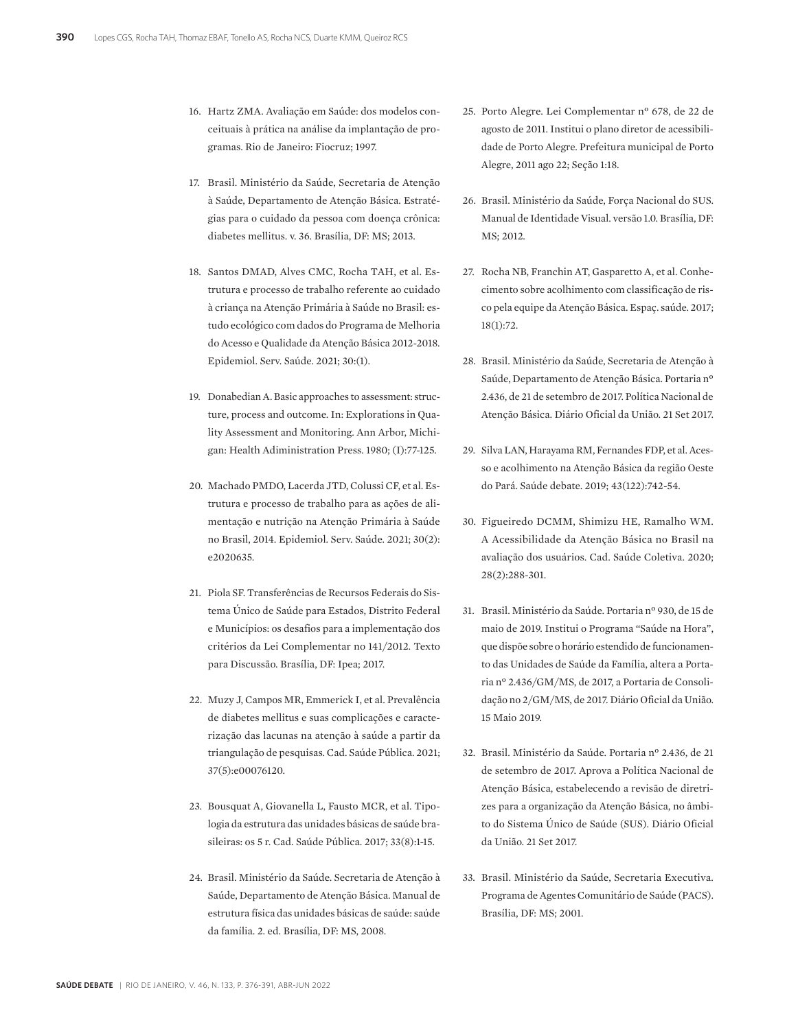- 16. Hartz ZMA. Avaliação em Saúde: dos modelos conceituais à prática na análise da implantação de programas. Rio de Janeiro: Fiocruz; 1997.
- 17. Brasil. Ministério da Saúde, Secretaria de Atenção à Saúde, Departamento de Atenção Básica. Estratégias para o cuidado da pessoa com doença crônica: diabetes mellitus. v. 36. Brasília, DF: MS; 2013.
- 18. Santos DMAD, Alves CMC, Rocha TAH, et al. Estrutura e processo de trabalho referente ao cuidado à criança na Atenção Primária à Saúde no Brasil: estudo ecológico com dados do Programa de Melhoria do Acesso e Qualidade da Atenção Básica 2012-2018. Epidemiol. Serv. Saúde. 2021; 30:(1).
- 19. Donabedian A. Basic approaches to assessment: structure, process and outcome. In: Explorations in Quality Assessment and Monitoring. Ann Arbor, Michigan: Health Adiministration Press. 1980; (I):77-125.
- 20. Machado PMDO, Lacerda JTD, Colussi CF, et al. Estrutura e processo de trabalho para as ações de alimentação e nutrição na Atenção Primária à Saúde no Brasil, 2014. Epidemiol. Serv. Saúde. 2021; 30(2): e2020635.
- 21. Piola SF. Transferências de Recursos Federais do Sistema Único de Saúde para Estados, Distrito Federal e Municípios: os desafios para a implementação dos critérios da Lei Complementar no 141/2012. Texto para Discussão. Brasília, DF: Ipea; 2017.
- 22. Muzy J, Campos MR, Emmerick I, et al. Prevalência de diabetes mellitus e suas complicações e caracterização das lacunas na atenção à saúde a partir da triangulação de pesquisas. Cad. Saúde Pública. 2021; 37(5):e00076120.
- 23. Bousquat A, Giovanella L, Fausto MCR, et al. Tipologia da estrutura das unidades básicas de saúde brasileiras: os 5 r. Cad. Saúde Pública. 2017; 33(8):1-15.
- 24. Brasil. Ministério da Saúde. Secretaria de Atenção à Saúde, Departamento de Atenção Básica. Manual de estrutura física das unidades básicas de saúde: saúde da família. 2. ed. Brasília, DF: MS, 2008.
- 25. Porto Alegre. Lei Complementar nº 678, de 22 de agosto de 2011. Institui o plano diretor de acessibilidade de Porto Alegre. Prefeitura municipal de Porto Alegre, 2011 ago 22; Seção 1:18.
- 26. Brasil. Ministério da Saúde, Força Nacional do SUS. Manual de Identidade Visual. versão 1.0. Brasília, DF: MS; 2012.
- 27. Rocha NB, Franchin AT, Gasparetto A, et al. Conhecimento sobre acolhimento com classificação de risco pela equipe da Atenção Básica. Espaç. saúde. 2017; 18(1):72.
- 28. Brasil. Ministério da Saúde, Secretaria de Atenção à Saúde, Departamento de Atenção Básica. Portaria nº 2.436, de 21 de setembro de 2017. Política Nacional de Atenção Básica. Diário Oficial da União. 21 Set 2017.
- 29. Silva LAN, Harayama RM, Fernandes FDP, et al. Acesso e acolhimento na Atenção Básica da região Oeste do Pará. Saúde debate. 2019; 43(122):742-54.
- 30. Figueiredo DCMM, Shimizu HE, Ramalho WM. A Acessibilidade da Atenção Básica no Brasil na avaliação dos usuários. Cad. Saúde Coletiva. 2020; 28(2):288-301.
- 31. Brasil. Ministério da Saúde. Portaria nº 930, de 15 de maio de 2019. Institui o Programa "Saúde na Hora", que dispõe sobre o horário estendido de funcionamento das Unidades de Saúde da Família, altera a Portaria nº 2.436/GM/MS, de 2017, a Portaria de Consolidação no 2/GM/MS, de 2017. Diário Oficial da União. 15 Maio 2019.
- 32. Brasil. Ministério da Saúde. Portaria nº 2.436, de 21 de setembro de 2017. Aprova a Política Nacional de Atenção Básica, estabelecendo a revisão de diretrizes para a organização da Atenção Básica, no âmbito do Sistema Único de Saúde (SUS). Diário Oficial da União. 21 Set 2017.
- 33. Brasil. Ministério da Saúde, Secretaria Executiva. Programa de Agentes Comunitário de Saúde (PACS). Brasília, DF: MS; 2001.